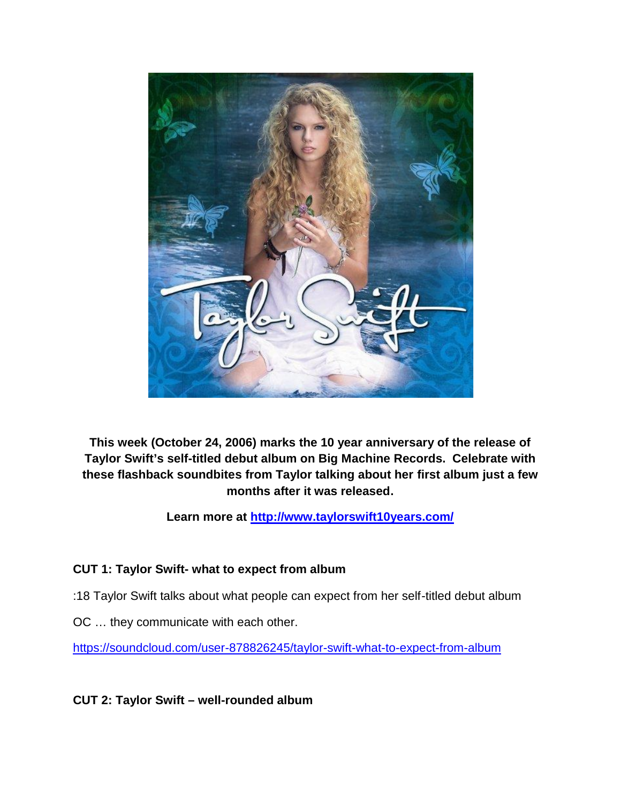

**This week (October 24, 2006) marks the 10 year anniversary of the release of Taylor Swift's self-titled debut album on Big Machine Records. Celebrate with these flashback soundbites from Taylor talking about her first album just a few months after it was released.**

**Learn more at http://www.taylorswift10years.com/**

# **CUT 1: Taylor Swift- what to expect from album**

- :18 Taylor Swift talks about what people can expect from her self-titled debut album
- OC … they communicate with each other.

https://soundcloud.com/user-878826245/taylor-swift-what-to-expect-from-album

**CUT 2: Taylor Swift – well-rounded album**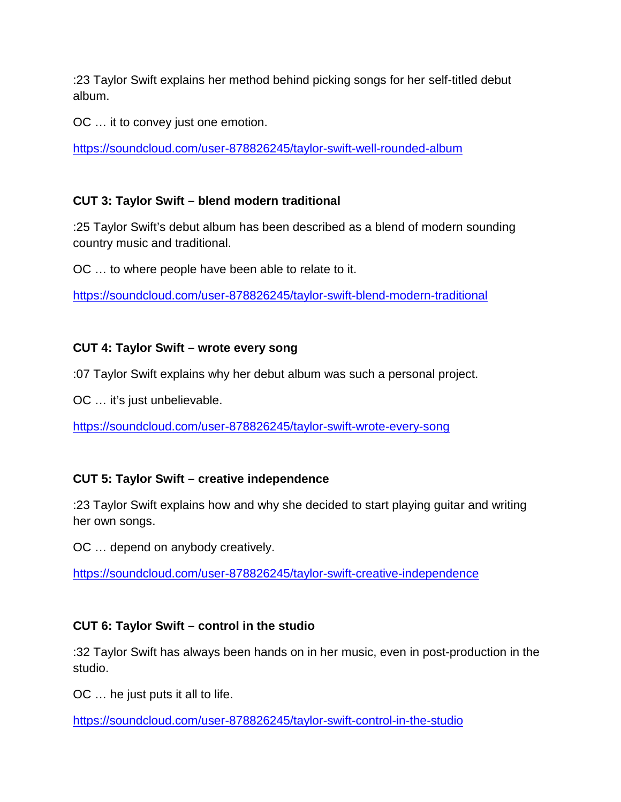:23 Taylor Swift explains her method behind picking songs for her self-titled debut album.

OC … it to convey just one emotion.

https://soundcloud.com/user-878826245/taylor-swift-well-rounded-album

# **CUT 3: Taylor Swift – blend modern traditional**

:25 Taylor Swift's debut album has been described as a blend of modern sounding country music and traditional.

OC … to where people have been able to relate to it.

https://soundcloud.com/user-878826245/taylor-swift-blend-modern-traditional

# **CUT 4: Taylor Swift – wrote every song**

:07 Taylor Swift explains why her debut album was such a personal project.

OC … it's just unbelievable.

https://soundcloud.com/user-878826245/taylor-swift-wrote-every-song

# **CUT 5: Taylor Swift – creative independence**

:23 Taylor Swift explains how and why she decided to start playing guitar and writing her own songs.

OC … depend on anybody creatively.

https://soundcloud.com/user-878826245/taylor-swift-creative-independence

### **CUT 6: Taylor Swift – control in the studio**

:32 Taylor Swift has always been hands on in her music, even in post-production in the studio.

OC … he just puts it all to life.

https://soundcloud.com/user-878826245/taylor-swift-control-in-the-studio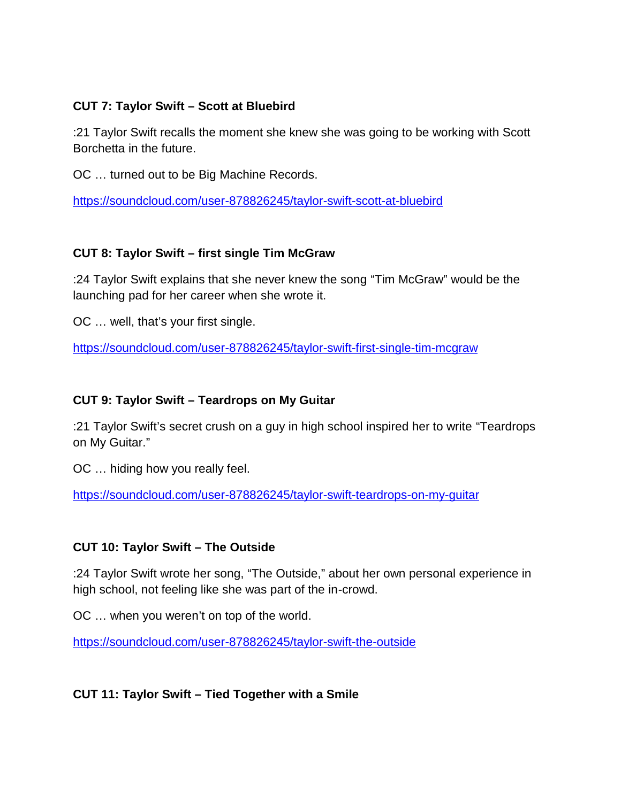### **CUT 7: Taylor Swift – Scott at Bluebird**

:21 Taylor Swift recalls the moment she knew she was going to be working with Scott Borchetta in the future.

OC … turned out to be Big Machine Records.

https://soundcloud.com/user-878826245/taylor-swift-scott-at-bluebird

### **CUT 8: Taylor Swift – first single Tim McGraw**

:24 Taylor Swift explains that she never knew the song "Tim McGraw" would be the launching pad for her career when she wrote it.

OC … well, that's your first single.

https://soundcloud.com/user-878826245/taylor-swift-first-single-tim-mcgraw

#### **CUT 9: Taylor Swift – Teardrops on My Guitar**

:21 Taylor Swift's secret crush on a guy in high school inspired her to write "Teardrops on My Guitar."

OC … hiding how you really feel.

https://soundcloud.com/user-878826245/taylor-swift-teardrops-on-my-guitar

### **CUT 10: Taylor Swift – The Outside**

:24 Taylor Swift wrote her song, "The Outside," about her own personal experience in high school, not feeling like she was part of the in-crowd.

OC … when you weren't on top of the world.

https://soundcloud.com/user-878826245/taylor-swift-the-outside

**CUT 11: Taylor Swift – Tied Together with a Smile**